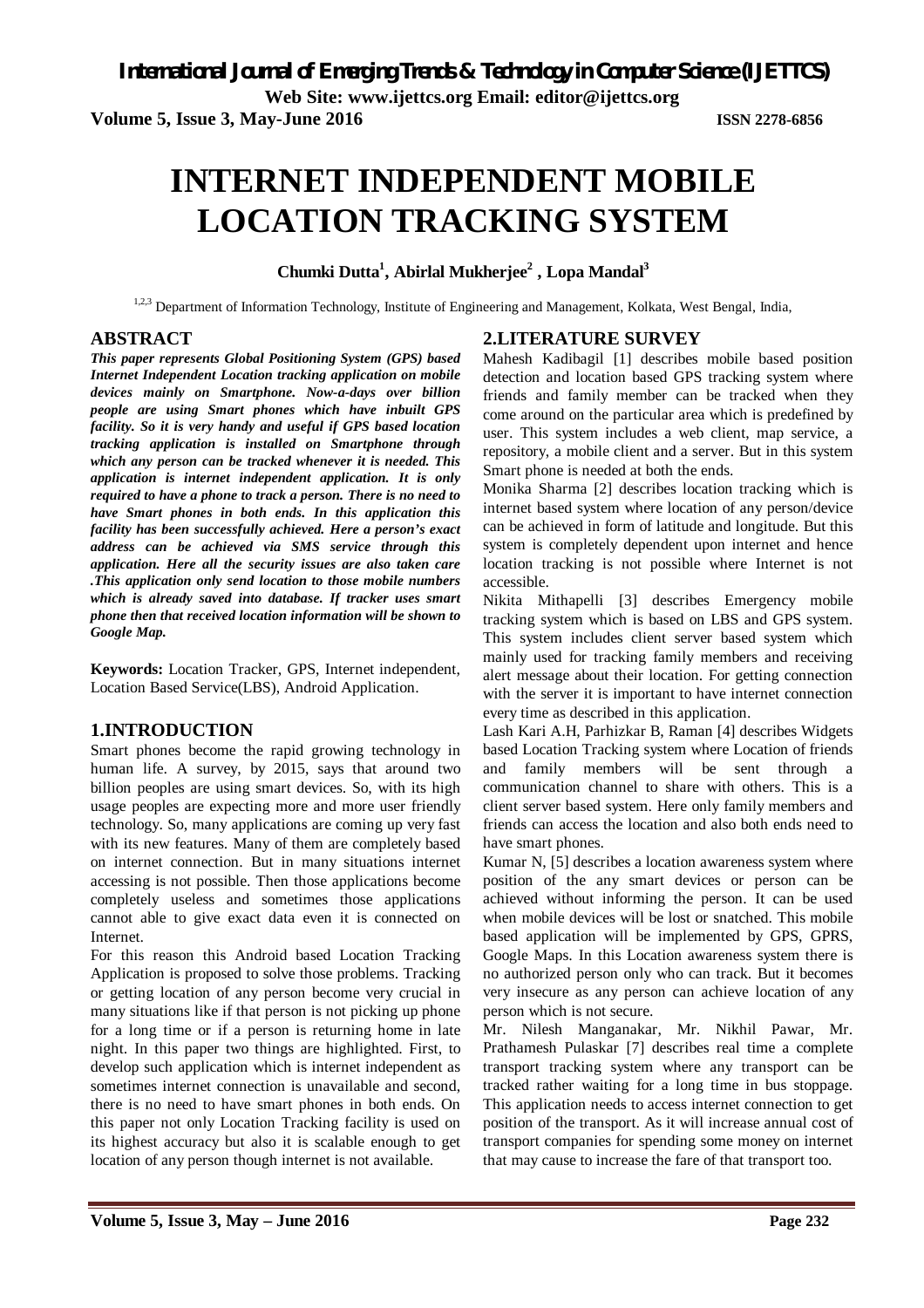**Web Site: www.ijettcs.org Email: editor@ijettcs.org** 

**Volume 5, Issue 3, May-June 2016 ISSN 2278-6856**

# **INTERNET INDEPENDENT MOBILE LOCATION TRACKING SYSTEM**

**Chumki Dutta<sup>1</sup> , Abirlal Mukherjee<sup>2</sup> , Lopa Mandal<sup>3</sup>**

<sup>1,2,3</sup> Department of Information Technology, Institute of Engineering and Management, Kolkata, West Bengal, India,

# **ABSTRACT**

*This paper represents Global Positioning System (GPS) based Internet Independent Location tracking application on mobile devices mainly on Smartphone. Now-a-days over billion people are using Smart phones which have inbuilt GPS facility. So it is very handy and useful if GPS based location tracking application is installed on Smartphone through which any person can be tracked whenever it is needed. This application is internet independent application. It is only required to have a phone to track a person. There is no need to have Smart phones in both ends. In this application this facility has been successfully achieved. Here a person's exact address can be achieved via SMS service through this application. Here all the security issues are also taken care .This application only send location to those mobile numbers which is already saved into database. If tracker uses smart phone then that received location information will be shown to Google Map.*

**Keywords:** Location Tracker, GPS, Internet independent, Location Based Service(LBS), Android Application.

# **1.INTRODUCTION**

Smart phones become the rapid growing technology in human life. A survey, by 2015, says that around two billion peoples are using smart devices. So, with its high usage peoples are expecting more and more user friendly technology. So, many applications are coming up very fast with its new features. Many of them are completely based on internet connection. But in many situations internet accessing is not possible. Then those applications become completely useless and sometimes those applications cannot able to give exact data even it is connected on Internet.

For this reason this Android based Location Tracking Application is proposed to solve those problems. Tracking or getting location of any person become very crucial in many situations like if that person is not picking up phone for a long time or if a person is returning home in late night. In this paper two things are highlighted. First, to develop such application which is internet independent as sometimes internet connection is unavailable and second, there is no need to have smart phones in both ends. On this paper not only Location Tracking facility is used on its highest accuracy but also it is scalable enough to get location of any person though internet is not available.

# **2.LITERATURE SURVEY**

Mahesh Kadibagil [1] describes mobile based position detection and location based GPS tracking system where friends and family member can be tracked when they come around on the particular area which is predefined by user. This system includes a web client, map service, a repository, a mobile client and a server. But in this system Smart phone is needed at both the ends.

Monika Sharma [2] describes location tracking which is internet based system where location of any person/device can be achieved in form of latitude and longitude. But this system is completely dependent upon internet and hence location tracking is not possible where Internet is not accessible.

Nikita Mithapelli [3] describes Emergency mobile tracking system which is based on LBS and GPS system. This system includes client server based system which mainly used for tracking family members and receiving alert message about their location. For getting connection with the server it is important to have internet connection every time as described in this application.

Lash Kari A.H, Parhizkar B, Raman [4] describes Widgets based Location Tracking system where Location of friends and family members will be sent through a communication channel to share with others. This is a client server based system. Here only family members and friends can access the location and also both ends need to have smart phones.

Kumar N, [5] describes a location awareness system where position of the any smart devices or person can be achieved without informing the person. It can be used when mobile devices will be lost or snatched. This mobile based application will be implemented by GPS, GPRS, Google Maps. In this Location awareness system there is no authorized person only who can track. But it becomes very insecure as any person can achieve location of any person which is not secure.

Mr. Nilesh Manganakar, Mr. Nikhil Pawar, Mr. Prathamesh Pulaskar [7] describes real time a complete transport tracking system where any transport can be tracked rather waiting for a long time in bus stoppage. This application needs to access internet connection to get position of the transport. As it will increase annual cost of transport companies for spending some money on internet that may cause to increase the fare of that transport too.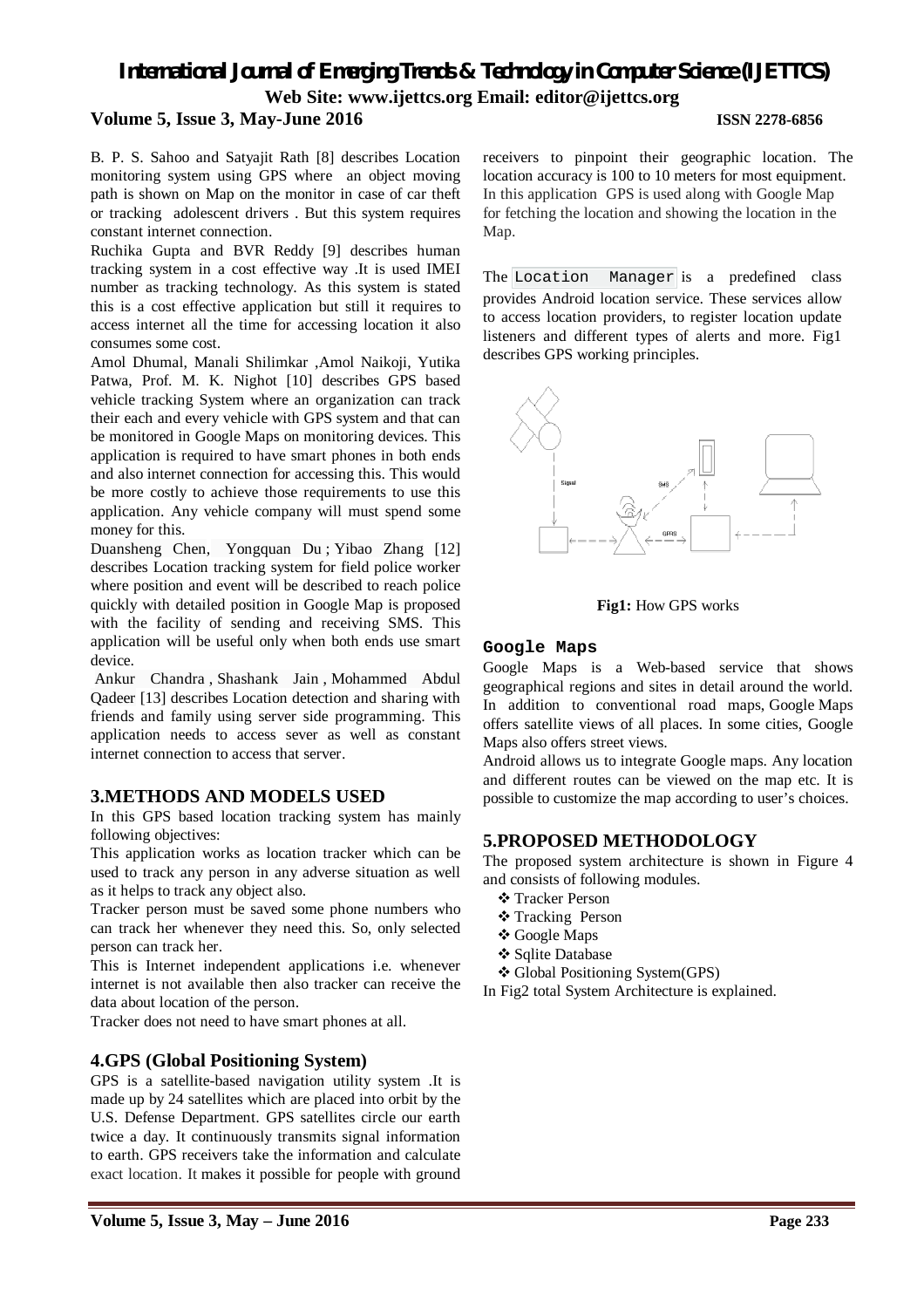# *International Journal of Emerging Trends & Technology in Computer Science (IJETTCS)* **Web Site: www.ijettcs.org Email: editor@ijettcs.org Volume 5, Issue 3, May-June 2016 ISSN 2278-6856**

B. P. S. Sahoo and Satyajit Rath [8] describes Location monitoring system using GPS where an object moving path is shown on Map on the monitor in case of car theft or tracking adolescent drivers . But this system requires constant internet connection.

Ruchika Gupta and BVR Reddy [9] describes human tracking system in a cost effective way .It is used IMEI number as tracking technology. As this system is stated this is a cost effective application but still it requires to access internet all the time for accessing location it also consumes some cost.

Amol Dhumal, Manali Shilimkar ,Amol Naikoji, Yutika Patwa, Prof. M. K. Nighot [10] describes GPS based vehicle tracking System where an organization can track their each and every vehicle with GPS system and that can be monitored in Google Maps on monitoring devices. This application is required to have smart phones in both ends and also internet connection for accessing this. This would be more costly to achieve those requirements to use this application. Any vehicle company will must spend some money for this.

Duansheng Chen, Yongquan Du ; Yibao Zhang [12] describes Location tracking system for field police worker where position and event will be described to reach police quickly with detailed position in Google Map is proposed with the facility of sending and receiving SMS. This application will be useful only when both ends use smart device.

Ankur Chandra , Shashank Jain , Mohammed Abdul Qadeer [13] describes Location detection and sharing with friends and family using server side programming. This application needs to access sever as well as constant internet connection to access that server.

### **3.METHODS AND MODELS USED**

In this GPS based location tracking system has mainly following objectives:

This application works as location tracker which can be used to track any person in any adverse situation as well as it helps to track any object also.

Tracker person must be saved some phone numbers who can track her whenever they need this. So, only selected person can track her.

This is Internet independent applications i.e. whenever internet is not available then also tracker can receive the data about location of the person.

Tracker does not need to have smart phones at all.

### **4.GPS (Global Positioning System)**

GPS is a satellite-based navigation utility system .It is made up by 24 satellites which are placed into orbit by the U.S. Defense Department. GPS satellites circle our earth twice a day. It continuously transmits signal information to earth. GPS receivers take the information and calculate exact location. It makes it possible for people with ground

receivers to pinpoint their geographic location. The location accuracy is 100 to 10 meters for most equipment. In this application GPS is used along with Google Map for fetching the location and showing the location in the Map.

The Location Manager is a predefined class provides Android location service. These services allow to access location providers, to register location update listeners and different types of alerts and more. Fig1 describes GPS working principles.



**Fig1:** How GPS works

#### **Google Maps**

Google Maps is a Web-based service that shows geographical regions and sites in detail around the world. In addition to conventional road maps, Google Maps offers satellite views of all places. In some cities, Google Maps also offers street views.

Android allows us to integrate Google maps. Any location and different routes can be viewed on the map etc. It is possible to customize the map according to user's choices.

# **5.PROPOSED METHODOLOGY**

The proposed system architecture is shown in Figure 4 and consists of following modules.

- Tracker Person
- **❖** Tracking Person
- Google Maps
- **❖ Sqlite Database**
- Global Positioning System(GPS)
- In Fig2 total System Architecture is explained.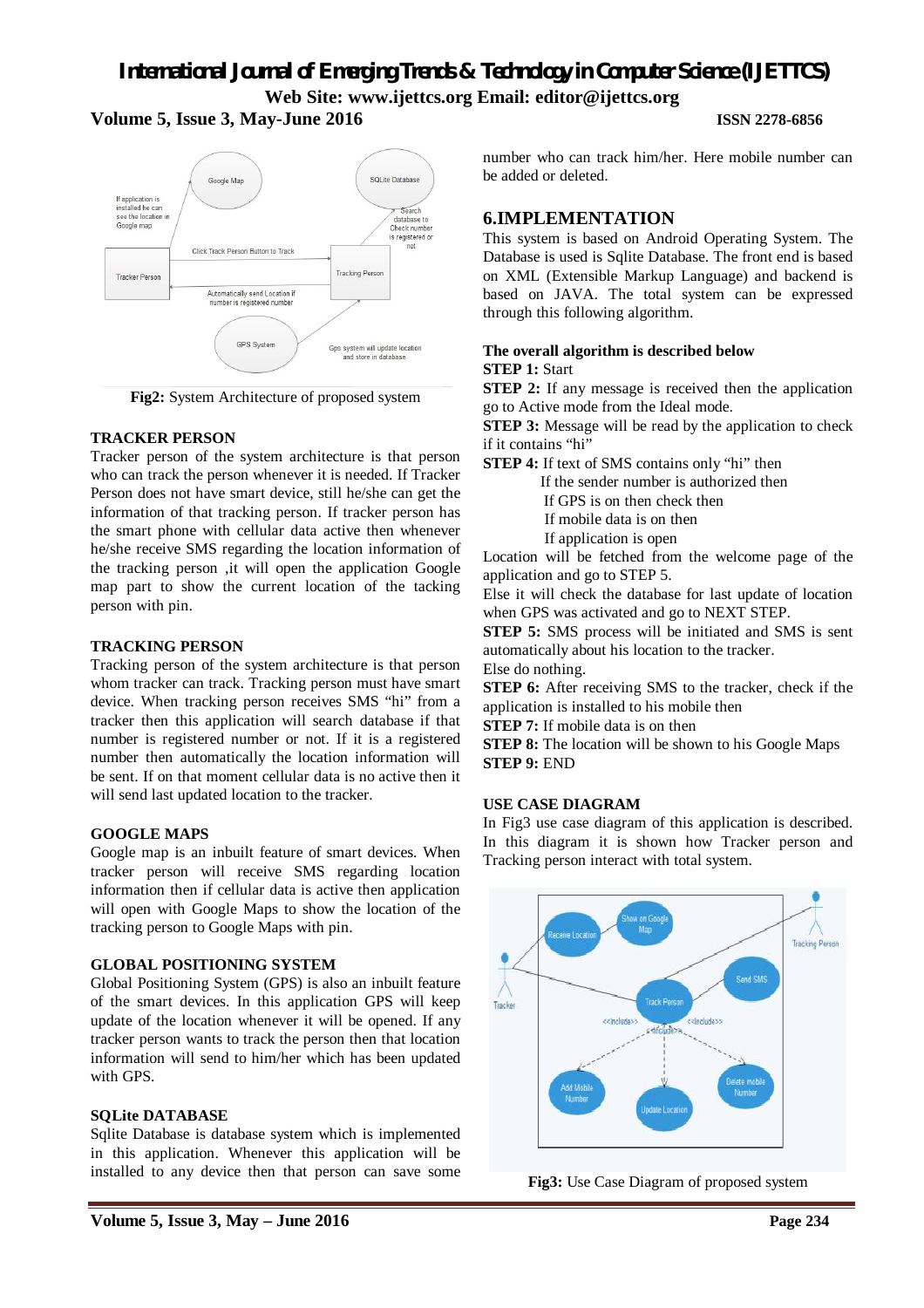# *International Journal of Emerging Trends & Technology in Computer Science (IJETTCS)* **Web Site: www.ijettcs.org Email: editor@ijettcs.org**

#### **Volume 5, Issue 3, May-June 2016 ISSN 2278-6856**



**Fig2:** System Architecture of proposed system

#### **TRACKER PERSON**

Tracker person of the system architecture is that person who can track the person whenever it is needed. If Tracker Person does not have smart device, still he/she can get the information of that tracking person. If tracker person has the smart phone with cellular data active then whenever he/she receive SMS regarding the location information of the tracking person ,it will open the application Google map part to show the current location of the tacking person with pin.

#### **TRACKING PERSON**

Tracking person of the system architecture is that person whom tracker can track. Tracking person must have smart device. When tracking person receives SMS "hi" from a tracker then this application will search database if that number is registered number or not. If it is a registered number then automatically the location information will be sent. If on that moment cellular data is no active then it will send last updated location to the tracker.

#### **GOOGLE MAPS**

Google map is an inbuilt feature of smart devices. When tracker person will receive SMS regarding location information then if cellular data is active then application will open with Google Maps to show the location of the tracking person to Google Maps with pin.

#### **GLOBAL POSITIONING SYSTEM**

Global Positioning System (GPS) is also an inbuilt feature of the smart devices. In this application GPS will keep update of the location whenever it will be opened. If any tracker person wants to track the person then that location information will send to him/her which has been updated with GPS.

#### **SQLite DATABASE**

Sqlite Database is database system which is implemented in this application. Whenever this application will be installed to any device then that person can save some number who can track him/her. Here mobile number can be added or deleted.

# **6.IMPLEMENTATION**

This system is based on Android Operating System. The Database is used is Sqlite Database. The front end is based on XML (Extensible Markup Language) and backend is based on JAVA. The total system can be expressed through this following algorithm.

#### **The overall algorithm is described below STEP 1:** Start

**STEP 2:** If any message is received then the application go to Active mode from the Ideal mode.

**STEP 3:** Message will be read by the application to check if it contains "hi"

**STEP 4:** If text of SMS contains only "hi" then If the sender number is authorized then If GPS is on then check then

If mobile data is on then

If application is open

Location will be fetched from the welcome page of the application and go to STEP 5.

Else it will check the database for last update of location when GPS was activated and go to NEXT STEP.

**STEP 5:** SMS process will be initiated and SMS is sent automatically about his location to the tracker.

Else do nothing.

**STEP 6:** After receiving SMS to the tracker, check if the application is installed to his mobile then

**STEP 7:** If mobile data is on then

**STEP 8:** The location will be shown to his Google Maps **STEP 9:** END

### **USE CASE DIAGRAM**

In Fig3 use case diagram of this application is described. In this diagram it is shown how Tracker person and Tracking person interact with total system.



**Fig3:** Use Case Diagram of proposed system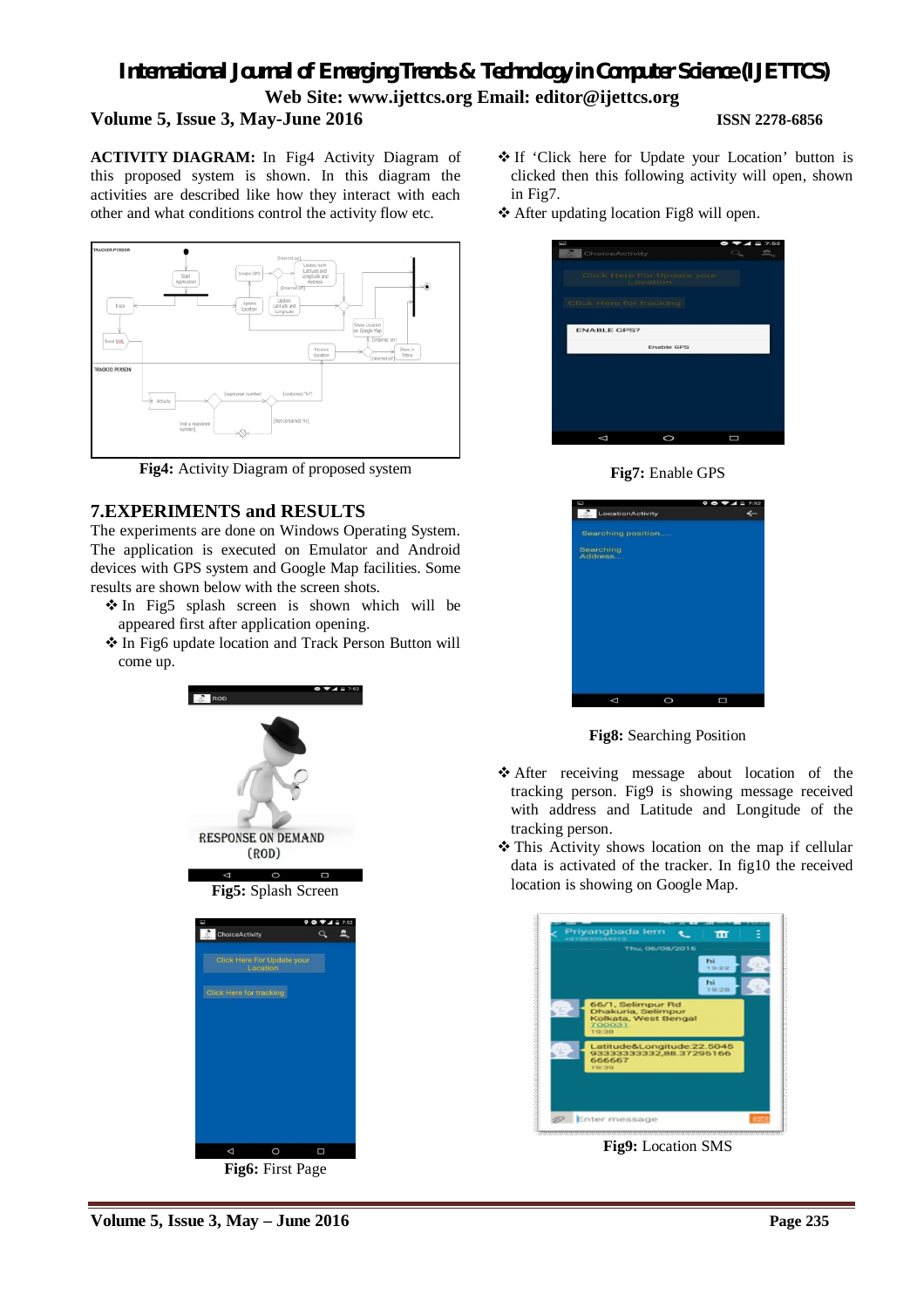# *International Journal of Emerging Trends & Technology in Computer Science (IJETTCS)* **Web Site: www.ijettcs.org Email: editor@ijettcs.org Volume 5, Issue 3, May-June 2016 ISSN 2278-6856**

**ACTIVITY DIAGRAM:** In Fig4 Activity Diagram of this proposed system is shown. In this diagram the activities are described like how they interact with each other and what conditions control the activity flow etc.



**Fig4:** Activity Diagram of proposed system

# **7.EXPERIMENTS and RESULTS**

The experiments are done on Windows Operating System. The application is executed on Emulator and Android devices with GPS system and Google Map facilities. Some results are shown below with the screen shots.

- In Fig5 splash screen is shown which will be appeared first after application opening.
- In Fig6 update location and Track Person Button will come up.



**Fig6:** First Page

- If 'Click here for Update your Location' button is clicked then this following activity will open, shown in Fig7.
- After updating location Fig8 will open.

| ChoiceActivity          |                                        | 7:52 |
|-------------------------|----------------------------------------|------|
|                         | Click Here For Update your<br>Location |      |
| Click Here for tracking |                                        |      |
| <b>ENABLE GPS?</b>      |                                        |      |
|                         | <b>Enable GPS</b>                      |      |
|                         |                                        |      |
|                         |                                        |      |
|                         |                                        |      |
|                         |                                        |      |
|                         |                                        |      |





**Fig8:** Searching Position

- After receiving message about location of the tracking person. Fig9 is showing message received with address and Latitude and Longitude of the tracking person.
- This Activity shows location on the map if cellular data is activated of the tracker. In fig10 the received location is showing on Google Map.



**Fig9:** Location SMS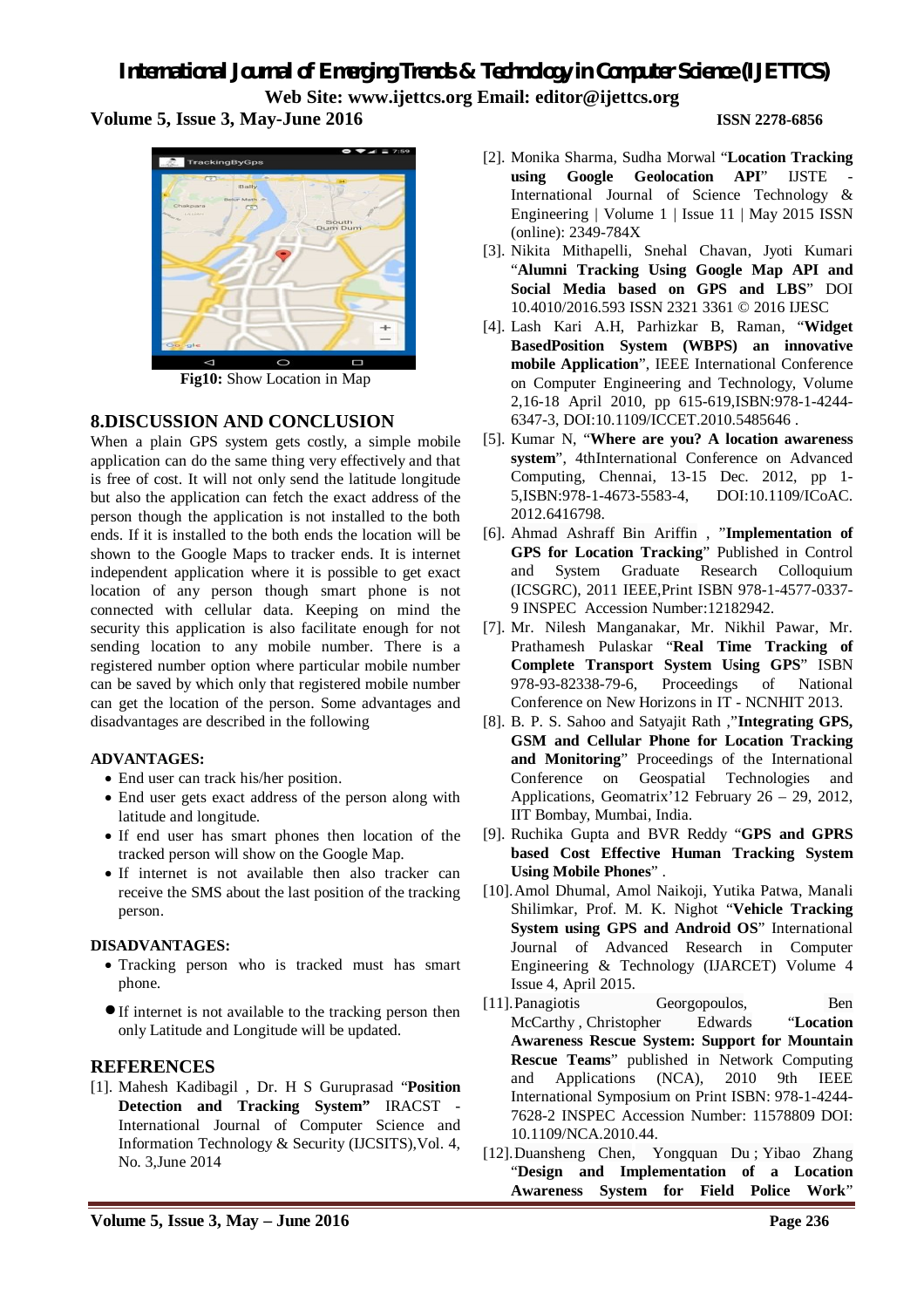# *International Journal of Emerging Trends & Technology in Computer Science (IJETTCS)* **Web Site: www.ijettcs.org Email: editor@ijettcs.org**

**Volume 5, Issue 3, May-June 2016 ISSN 2278-6856**

TrackingByGps

**Fig10:** Show Location in Map

# **8.DISCUSSION AND CONCLUSION**

When a plain GPS system gets costly, a simple mobile application can do the same thing very effectively and that is free of cost. It will not only send the latitude longitude but also the application can fetch the exact address of the person though the application is not installed to the both ends. If it is installed to the both ends the location will be shown to the Google Maps to tracker ends. It is internet independent application where it is possible to get exact location of any person though smart phone is not connected with cellular data. Keeping on mind the security this application is also facilitate enough for not sending location to any mobile number. There is a registered number option where particular mobile number can be saved by which only that registered mobile number can get the location of the person. Some advantages and disadvantages are described in the following

### **ADVANTAGES:**

- End user can track his/her position.
- End user gets exact address of the person along with latitude and longitude.
- If end user has smart phones then location of the tracked person will show on the Google Map.
- If internet is not available then also tracker can receive the SMS about the last position of the tracking person.

### **DISADVANTAGES:**

- Tracking person who is tracked must has smart phone.
- If internet is not available to the tracking person then only Latitude and Longitude will be updated.

# **REFERENCES**

[1]. Mahesh Kadibagil , Dr. H S Guruprasad "**Position Detection and Tracking System"** IRACST - International Journal of Computer Science and Information Technology & Security (IJCSITS),Vol. 4, No. 3,June 2014

- [2]. Monika Sharma, Sudha Morwal "**Location Tracking**  using Google Geolocation API" IJSTE International Journal of Science Technology & Engineering | Volume 1 | Issue 11 | May 2015 ISSN (online): 2349-784X
- [3]. Nikita Mithapelli, Snehal Chavan, Jyoti Kumari "**Alumni Tracking Using Google Map API and Social Media based on GPS and LBS**" DOI 10.4010/2016.593 ISSN 2321 3361 © 2016 IJESC
- [4]. Lash Kari A.H, Parhizkar B, Raman, "**Widget BasedPosition System (WBPS) an innovative mobile Application**", IEEE International Conference on Computer Engineering and Technology, Volume 2,16-18 April 2010, pp 615-619,ISBN:978-1-4244- 6347-3, DOI:10.1109/ICCET.2010.5485646 .
- [5]. Kumar N, "**Where are you? A location awareness system**", 4thInternational Conference on Advanced Computing, Chennai, 13-15 Dec. 2012, pp 1- 5,ISBN:978-1-4673-5583-4, DOI:10.1109/ICoAC. 2012.6416798.
- [6]. Ahmad Ashraff Bin Ariffin , "**Implementation of GPS for Location Tracking**" Published in Control and System Graduate Research Colloquium (ICSGRC), 2011 IEEE,Print ISBN 978-1-4577-0337- 9 INSPEC Accession Number:12182942.
- [7]. Mr. Nilesh Manganakar, Mr. Nikhil Pawar, Mr. Prathamesh Pulaskar "**Real Time Tracking of Complete Transport System Using GPS**" ISBN 978-93-82338-79-6, Proceedings of National Conference on New Horizons in IT - NCNHIT 2013.
- [8]. B. P. S. Sahoo and Satyajit Rath ,"**Integrating GPS, GSM and Cellular Phone for Location Tracking and Monitoring**" Proceedings of the International Conference on Geospatial Technologies and Applications, Geomatrix'12 February 26 – 29, 2012, IIT Bombay, Mumbai, India.
- [9]. Ruchika Gupta and BVR Reddy "**GPS and GPRS based Cost Effective Human Tracking System Using Mobile Phones**" .
- [10].Amol Dhumal, Amol Naikoji, Yutika Patwa, Manali Shilimkar, Prof. M. K. Nighot "**Vehicle Tracking System using GPS and Android OS**" International Journal of Advanced Research in Computer Engineering & Technology (IJARCET) Volume 4 Issue 4, April 2015.
- [11].Panagiotis Georgopoulos, Ben McCarthy , Christopher Edwards "**Location Awareness Rescue System: Support for Mountain Rescue Teams**" published in Network Computing and Applications (NCA), 2010 9th IEEE International Symposium on Print ISBN: 978-1-4244- 7628-2 INSPEC Accession Number: 11578809 DOI: 10.1109/NCA.2010.44.
- [12].Duansheng Chen, Yongquan Du ; Yibao Zhang "**Design and Implementation of a Location Awareness System for Field Police Work**"